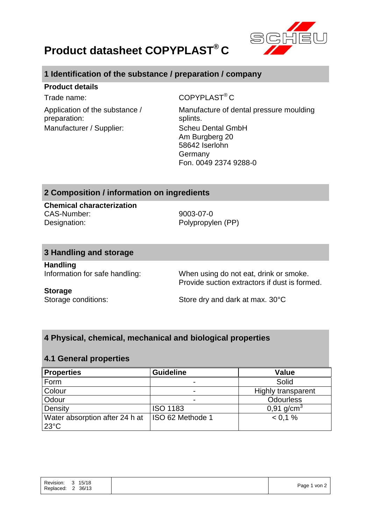

# **Product datasheet COPYPLAST® C**

# **1 Identification of the substance / preparation / company**

### **Product details**

Application of the substance / preparation: Manufacturer / Supplier: Scheu Dental GmbH

Trade name: COPYPLAST<sup>®</sup> C

Manufacture of dental pressure moulding splints. Am Burgberg 20 58642 Iserlohn Germany Fon. 0049 2374 9288-0

# **2 Composition / information on ingredients**

**Chemical characterization** CAS-Number: 9003-07-0 Designation: Polypropylen (PP)

## **3 Handling and storage**

**Handling**

Information for safe handling: When using do not eat, drink or smoke. Provide suction extractors if dust is formed.

### **Storage**

Storage conditions: Store dry and dark at max. 30°C

# **4 Physical, chemical, mechanical and biological properties**

## **4.1 General properties**

| <b>Properties</b>                                | <b>Guideline</b>         | <b>Value</b>              |
|--------------------------------------------------|--------------------------|---------------------------|
| Form                                             |                          | Solid                     |
| Colour                                           | $\overline{\phantom{0}}$ | <b>Highly transparent</b> |
| Odour                                            | $\overline{\phantom{0}}$ | <b>Odourless</b>          |
| Density                                          | <b>ISO 1183</b>          | 0,91 $g/cm^{3}$           |
| Water absorption after 24 h at<br>$23^{\circ}$ C | ISO 62 Methode 1         | < 0.1 %                   |

| Page 1 von 2 | Revision: | $\mathbf{3}$   | 15/18 |
|--------------|-----------|----------------|-------|
|              | Replaced: | $\overline{2}$ | 36/13 |